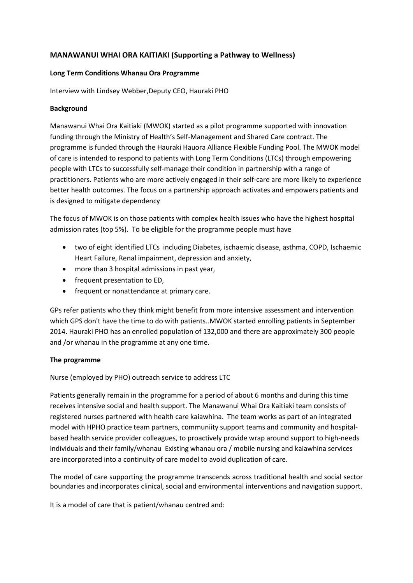# **MANAWANUI WHAI ORA KAITIAKI (Supporting a Pathway to Wellness)**

### **Long Term Conditions Whanau Ora Programme**

Interview with Lindsey Webber,Deputy CEO, Hauraki PHO

### **Background**

Manawanui Whai Ora Kaitiaki (MWOK) started as a pilot programme supported with innovation funding through the Ministry of Health's Self-Management and Shared Care contract. The programme is funded through the Hauraki Hauora Alliance Flexible Funding Pool. The MWOK model of care is intended to respond to patients with Long Term Conditions (LTCs) through empowering people with LTCs to successfully self-manage their condition in partnership with a range of practitioners. Patients who are more actively engaged in their self-care are more likely to experience better health outcomes. The focus on a partnership approach activates and empowers patients and is designed to mitigate dependency

The focus of MWOK is on those patients with complex health issues who have the highest hospital admission rates (top 5%). To be eligible for the programme people must have

- two of eight identified LTCs including Diabetes, ischaemic disease, asthma, COPD, Ischaemic Heart Failure, Renal impairment, depression and anxiety,
- more than 3 hospital admissions in past year,
- frequent presentation to ED,
- frequent or nonattendance at primary care.

GPs refer patients who they think might benefit from more intensive assessment and intervention which GPS don't have the time to do with patients..MWOK started enrolling patients in September 2014. Hauraki PHO has an enrolled population of 132,000 and there are approximately 300 people and /or whanau in the programme at any one time.

### **The programme**

Nurse (employed by PHO) outreach service to address LTC

Patients generally remain in the programme for a period of about 6 months and during this time receives intensive social and health support. The Manawanui Whai Ora Kaitiaki team consists of registered nurses partnered with health care kaiawhina. The team works as part of an integrated model with HPHO practice team partners, communiity support teams and community and hospitalbased health service provider colleagues, to proactively provide wrap around support to high-needs individuals and their family/whanau Existing whanau ora / mobile nursing and kaiawhina services are incorporated into a continuity of care model to avoid duplication of care.

The model of care supporting the programme transcends across traditional health and social sector boundaries and incorporates clinical, social and environmental interventions and navigation support.

It is a model of care that is patient/whanau centred and: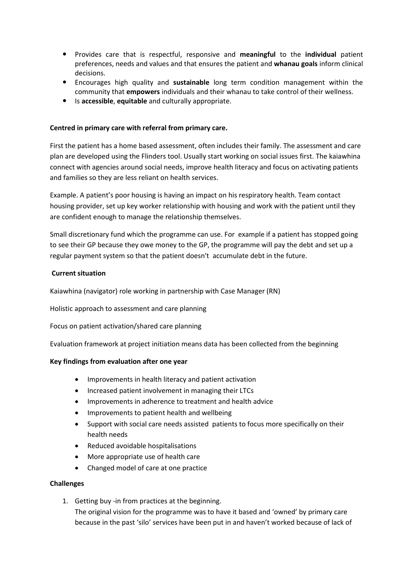- Provides care that is respectful, responsive and **meaningful** to the **individual** patient preferences, needs and values and that ensures the patient and **whanau goals** inform clinical decisions.
- Encourages high quality and **sustainable** long term condition management within the community that **empowers** individuals and their whanau to take control of their wellness.
- Is **accessible**, **equitable** and culturally appropriate.

### **Centred in primary care with referral from primary care.**

First the patient has a home based assessment, often includes their family. The assessment and care plan are developed using the Flinders tool. Usually start working on social issues first. The kaiawhina connect with agencies around social needs, improve health literacy and focus on activating patients and families so they are less reliant on health services.

Example. A patient's poor housing is having an impact on his respiratory health. Team contact housing provider, set up key worker relationship with housing and work with the patient until they are confident enough to manage the relationship themselves.

Small discretionary fund which the programme can use. For example if a patient has stopped going to see their GP because they owe money to the GP, the programme will pay the debt and set up a regular payment system so that the patient doesn't accumulate debt in the future.

### **Current situation**

Kaiawhina (navigator) role working in partnership with Case Manager (RN)

Holistic approach to assessment and care planning

Focus on patient activation/shared care planning

Evaluation framework at project initiation means data has been collected from the beginning

### **Key findings from evaluation after one year**

- Improvements in health literacy and patient activation
- Increased patient involvement in managing their LTCs
- Improvements in adherence to treatment and health advice
- Improvements to patient health and wellbeing
- Support with social care needs assisted patients to focus more specifically on their health needs
- Reduced avoidable hospitalisations
- More appropriate use of health care
- Changed model of care at one practice

#### **Challenges**

1. Getting buy -in from practices at the beginning.

The original vision for the programme was to have it based and 'owned' by primary care because in the past 'silo' services have been put in and haven't worked because of lack of